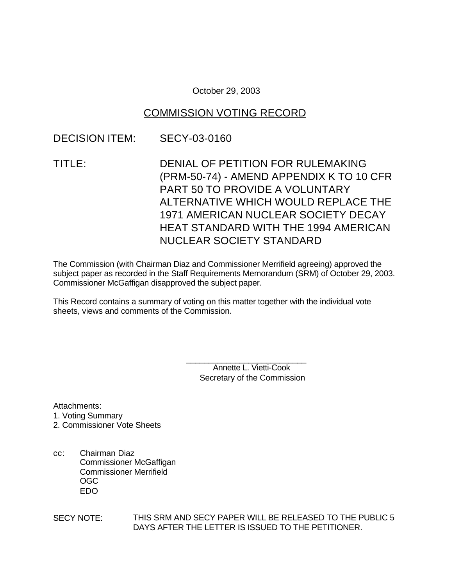October 29, 2003

# COMMISSION VOTING RECORD

## DECISION ITEM: SECY-03-0160

TITLE: DENIAL OF PETITION FOR RULEMAKING (PRM-50-74) - AMEND APPENDIX K TO 10 CFR PART 50 TO PROVIDE A VOLUNTARY ALTERNATIVE WHICH WOULD REPLACE THE 1971 AMERICAN NUCLEAR SOCIETY DECAY HEAT STANDARD WITH THE 1994 AMERICAN NUCLEAR SOCIETY STANDARD

The Commission (with Chairman Diaz and Commissioner Merrifield agreeing) approved the subject paper as recorded in the Staff Requirements Memorandum (SRM) of October 29, 2003. Commissioner McGaffigan disapproved the subject paper.

This Record contains a summary of voting on this matter together with the individual vote sheets, views and comments of the Commission.

> \_\_\_\_\_\_\_\_\_\_\_\_\_\_\_\_\_\_\_\_\_\_\_\_\_\_\_ Annette L. Vietti-Cook Secretary of the Commission

Attachments:

- 1. Voting Summary
- 2. Commissioner Vote Sheets
- cc: Chairman Diaz Commissioner McGaffigan Commissioner Merrifield OGC EDO

SECY NOTE: THIS SRM AND SECY PAPER WILL BE RELEASED TO THE PUBLIC 5 DAYS AFTER THE LETTER IS ISSUED TO THE PETITIONER.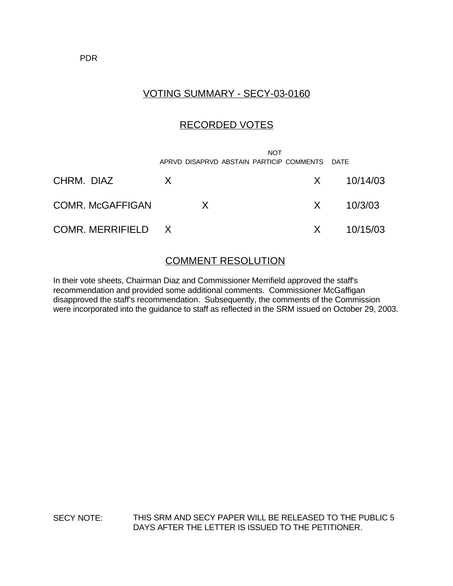## VOTING SUMMARY - SECY-03-0160

## RECORDED VOTES

 NOT APRVD DISAPRVD ABSTAIN PARTICIP COMMENTS DATE

| CHRM. DIAZ         | X. |    | X —                       | 10/14/03 |
|--------------------|----|----|---------------------------|----------|
| COMR. McGAFFIGAN   |    | X. | X —                       | 10/3/03  |
| COMR. MERRIFIELD X |    |    | $\boldsymbol{\mathsf{X}}$ | 10/15/03 |

### COMMENT RESOLUTION

In their vote sheets, Chairman Diaz and Commissioner Merrifield approved the staff's recommendation and provided some additional comments. Commissioner McGaffigan disapproved the staff's recommendation. Subsequently, the comments of the Commission were incorporated into the guidance to staff as reflected in the SRM issued on October 29, 2003.

SECY NOTE: THIS SRM AND SECY PAPER WILL BE RELEASED TO THE PUBLIC 5 DAYS AFTER THE LETTER IS ISSUED TO THE PETITIONER.

PDR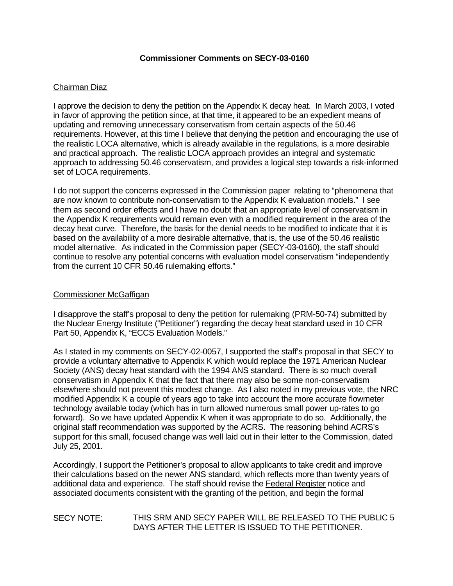#### **Commissioner Comments on SECY-03-0160**

#### Chairman Diaz

I approve the decision to deny the petition on the Appendix K decay heat. In March 2003, I voted in favor of approving the petition since, at that time, it appeared to be an expedient means of updating and removing unnecessary conservatism from certain aspects of the 50.46 requirements. However, at this time I believe that denying the petition and encouraging the use of the realistic LOCA alternative, which is already available in the regulations, is a more desirable and practical approach. The realistic LOCA approach provides an integral and systematic approach to addressing 50.46 conservatism, and provides a logical step towards a risk-informed set of LOCA requirements.

I do not support the concerns expressed in the Commission paper relating to "phenomena that are now known to contribute non-conservatism to the Appendix K evaluation models." I see them as second order effects and I have no doubt that an appropriate level of conservatism in the Appendix K requirements would remain even with a modified requirement in the area of the decay heat curve. Therefore, the basis for the denial needs to be modified to indicate that it is based on the availability of a more desirable alternative, that is, the use of the 50.46 realistic model alternative. As indicated in the Commission paper (SECY-03-0160), the staff should continue to resolve any potential concerns with evaluation model conservatism "independently from the current 10 CFR 50.46 rulemaking efforts."

#### Commissioner McGaffigan

I disapprove the staff's proposal to deny the petition for rulemaking (PRM-50-74) submitted by the Nuclear Energy Institute ("Petitioner") regarding the decay heat standard used in 10 CFR Part 50, Appendix K, "ECCS Evaluation Models."

As I stated in my comments on SECY-02-0057, I supported the staff's proposal in that SECY to provide a voluntary alternative to Appendix K which would replace the 1971 American Nuclear Society (ANS) decay heat standard with the 1994 ANS standard. There is so much overall conservatism in Appendix K that the fact that there may also be some non-conservatism elsewhere should not prevent this modest change. As I also noted in my previous vote, the NRC modified Appendix K a couple of years ago to take into account the more accurate flowmeter technology available today (which has in turn allowed numerous small power up-rates to go forward). So we have updated Appendix K when it was appropriate to do so. Additionally, the original staff recommendation was supported by the ACRS. The reasoning behind ACRS's support for this small, focused change was well laid out in their letter to the Commission, dated July 25, 2001.

Accordingly, I support the Petitioner's proposal to allow applicants to take credit and improve their calculations based on the newer ANS standard, which reflects more than twenty years of additional data and experience. The staff should revise the Federal Register notice and associated documents consistent with the granting of the petition, and begin the formal

#### SECY NOTE: THIS SRM AND SECY PAPER WILL BE RELEASED TO THE PUBLIC 5 DAYS AFTER THE LETTER IS ISSUED TO THE PETITIONER.